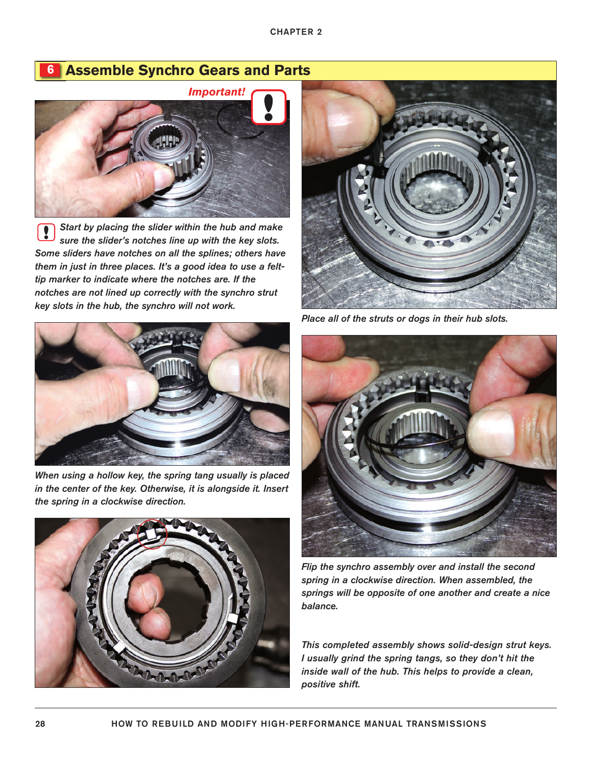# **6 Assemble Synchro Gears and Parts**



*Start by placing the slider within the hub and make* Į *sure the slider's notches line up with the key slots. Some sliders have notches on all the splines; others have them in just in three places. It's a good idea to use a felttip marker to indicate where the notches are. If the notches are not lined up correctly with the synchro strut key slots in the hub, the synchro will not work.*



*When using a hollow key, the spring tang usually is placed in the center of the key. Otherwise, it is alongside it. Insert the spring in a clockwise direction.*





*Place all of the struts or dogs in their hub slots.*



*Flip the synchro assembly over and install the second spring in a clockwise direction. When assembled, the springs will be opposite of one another and create a nice balance.*

*This completed assembly shows solid-design strut keys. I usually grind the spring tangs, so they don't hit the inside wall of the hub. This helps to provide a clean, positive shift.*